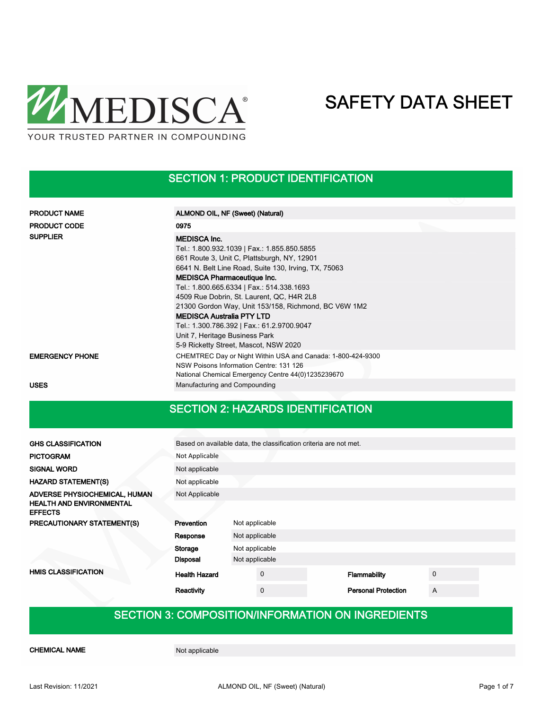

### SECTION 1: PRODUCT IDENTIFICATION

| <b>PRODUCT NAME</b>    | ALMOND OIL, NF (Sweet) (Natural)                                                                                                                                                                                                                                                                                                                                                                                                                                                      |
|------------------------|---------------------------------------------------------------------------------------------------------------------------------------------------------------------------------------------------------------------------------------------------------------------------------------------------------------------------------------------------------------------------------------------------------------------------------------------------------------------------------------|
| <b>PRODUCT CODE</b>    | 0975                                                                                                                                                                                                                                                                                                                                                                                                                                                                                  |
| <b>SUPPLIER</b>        | <b>MEDISCA Inc.</b><br>Tel.: 1.800.932.1039   Fax.: 1.855.850.5855<br>661 Route 3, Unit C, Plattsburgh, NY, 12901<br>6641 N. Belt Line Road, Suite 130, Irving, TX, 75063<br><b>MEDISCA Pharmaceutique Inc.</b><br>Tel.: 1.800.665.6334   Fax.: 514.338.1693<br>4509 Rue Dobrin, St. Laurent, QC, H4R 2L8<br>21300 Gordon Way, Unit 153/158, Richmond, BC V6W 1M2<br><b>MEDISCA Australia PTY LTD</b><br>Tel.: 1.300.786.392   Fax.: 61.2.9700.9047<br>Unit 7, Heritage Business Park |
|                        | 5-9 Ricketty Street, Mascot, NSW 2020                                                                                                                                                                                                                                                                                                                                                                                                                                                 |
| <b>EMERGENCY PHONE</b> | CHEMTREC Day or Night Within USA and Canada: 1-800-424-9300<br>NSW Poisons Information Centre: 131 126<br>National Chemical Emergency Centre 44(0)1235239670                                                                                                                                                                                                                                                                                                                          |
| USES                   | Manufacturing and Compounding                                                                                                                                                                                                                                                                                                                                                                                                                                                         |

### SECTION 2: HAZARDS IDENTIFICATION

| <b>GHS CLASSIFICATION</b>                         | Based on available data, the classification criteria are not met. |                |                |  |                            |   |  |
|---------------------------------------------------|-------------------------------------------------------------------|----------------|----------------|--|----------------------------|---|--|
| <b>PICTOGRAM</b>                                  | Not Applicable                                                    |                |                |  |                            |   |  |
| <b>SIGNAL WORD</b>                                | Not applicable                                                    |                |                |  |                            |   |  |
| <b>HAZARD STATEMENT(S)</b>                        | Not applicable                                                    |                |                |  |                            |   |  |
| ADVERSE PHYSIOCHEMICAL, HUMAN                     | Not Applicable                                                    |                |                |  |                            |   |  |
| <b>HEALTH AND ENVIRONMENTAL</b><br><b>EFFECTS</b> |                                                                   |                |                |  |                            |   |  |
| PRECAUTIONARY STATEMENT(S)                        | Prevention                                                        | Not applicable |                |  |                            |   |  |
|                                                   | Response                                                          | Not applicable |                |  |                            |   |  |
|                                                   | Storage                                                           | Not applicable |                |  |                            |   |  |
|                                                   | <b>Disposal</b>                                                   | Not applicable |                |  |                            |   |  |
| <b>HMIS CLASSIFICATION</b>                        | <b>Health Hazard</b>                                              |                | $\mathbf 0$    |  | Flammability               | 0 |  |
|                                                   | Reactivity                                                        |                | $\overline{0}$ |  | <b>Personal Protection</b> | A |  |

### SECTION 3: COMPOSITION/INFORMATION ON INGREDIENTS

CHEMICAL NAME Not applicable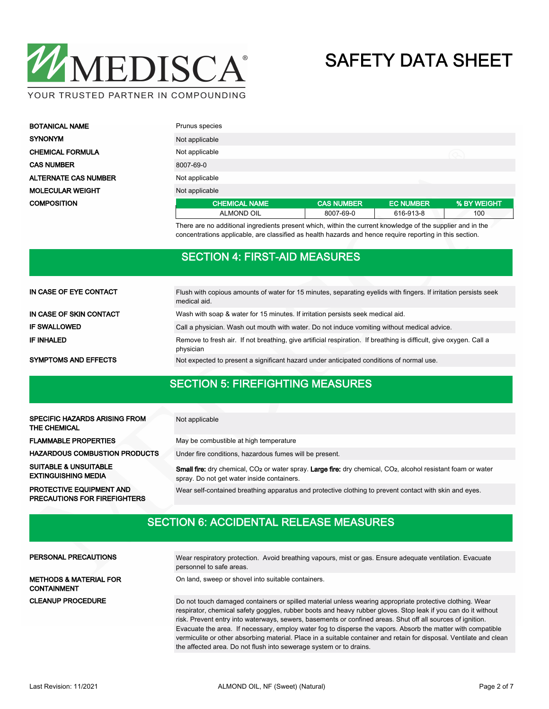

| <b>BOTANICAL NAME</b>       | Prunus species       |                   |                  |             |  |
|-----------------------------|----------------------|-------------------|------------------|-------------|--|
| <b>SYNONYM</b>              | Not applicable       |                   |                  |             |  |
| <b>CHEMICAL FORMULA</b>     | Not applicable       |                   |                  |             |  |
| <b>CAS NUMBER</b>           | 8007-69-0            |                   |                  |             |  |
| <b>ALTERNATE CAS NUMBER</b> | Not applicable       |                   |                  |             |  |
| <b>MOLECULAR WEIGHT</b>     | Not applicable       |                   |                  |             |  |
| <b>COMPOSITION</b>          | <b>CHEMICAL NAME</b> | <b>CAS NUMBER</b> | <b>EC NUMBER</b> | % BY WEIGHT |  |
|                             | <b>ALMOND OIL</b>    | 8007-69-0         | 616-913-8        | 100         |  |

There are no additional ingredients present which, within the current knowledge of the supplier and in the concentrations applicable, are classified as health hazards and hence require reporting in this section.

### SECTION 4: FIRST-AID MEASURES

| IN CASE OF EYE CONTACT      | Flush with copious amounts of water for 15 minutes, separating eyelids with fingers. If irritation persists seek<br>medical aid. |  |  |  |  |
|-----------------------------|----------------------------------------------------------------------------------------------------------------------------------|--|--|--|--|
| IN CASE OF SKIN CONTACT     | Wash with soap & water for 15 minutes. If irritation persists seek medical aid.                                                  |  |  |  |  |
| <b>IF SWALLOWED</b>         | Call a physician. Wash out mouth with water. Do not induce vomiting without medical advice.                                      |  |  |  |  |
| IF INHALED                  | Remove to fresh air. If not breathing, give artificial respiration. If breathing is difficult, give oxygen. Call a<br>physician  |  |  |  |  |
| <b>SYMPTOMS AND EFFECTS</b> | Not expected to present a significant hazard under anticipated conditions of normal use.                                         |  |  |  |  |

### SECTION 5: FIREFIGHTING MEASURES

| <b>SPECIFIC HAZARDS ARISING FROM</b><br><b>THE CHEMICAL</b>            | Not applicable                                                                                                                                                                                    |
|------------------------------------------------------------------------|---------------------------------------------------------------------------------------------------------------------------------------------------------------------------------------------------|
| <b>FLAMMABLE PROPERTIES</b>                                            | May be combustible at high temperature                                                                                                                                                            |
| <b>HAZARDOUS COMBUSTION PRODUCTS</b>                                   | Under fire conditions, hazardous fumes will be present.                                                                                                                                           |
| <b>SUITABLE &amp; UNSUITABLE</b><br><b>EXTINGUISHING MEDIA</b>         | <b>Small fire:</b> dry chemical, CO <sub>2</sub> or water spray. <b>Large fire:</b> dry chemical, CO <sub>2</sub> , alcohol resistant foam or water<br>spray. Do not get water inside containers. |
| <b>PROTECTIVE EQUIPMENT AND</b><br><b>PRECAUTIONS FOR FIREFIGHTERS</b> | Wear self-contained breathing apparatus and protective clothing to prevent contact with skin and eyes.                                                                                            |

### SECTION 6: ACCIDENTAL RELEASE MEASURES

| PERSONAL PRECAUTIONS                                    | Wear respiratory protection. Avoid breathing vapours, mist or gas. Ensure adequate ventilation. Evacuate<br>personnel to safe areas.                                                                                                                                                                                                                                                                                                                                                                                                                                          |
|---------------------------------------------------------|-------------------------------------------------------------------------------------------------------------------------------------------------------------------------------------------------------------------------------------------------------------------------------------------------------------------------------------------------------------------------------------------------------------------------------------------------------------------------------------------------------------------------------------------------------------------------------|
| <b>METHODS &amp; MATERIAL FOR</b><br><b>CONTAINMENT</b> | On land, sweep or shovel into suitable containers.                                                                                                                                                                                                                                                                                                                                                                                                                                                                                                                            |
| <b>CLEANUP PROCEDURE</b>                                | Do not touch damaged containers or spilled material unless wearing appropriate protective clothing. Wear<br>respirator, chemical safety goggles, rubber boots and heavy rubber gloves. Stop leak if you can do it without<br>risk. Prevent entry into waterways, sewers, basements or confined areas. Shut off all sources of ignition.<br>Evacuate the area. If necessary, employ water fog to disperse the vapors. Absorb the matter with compatible<br>vermiculite or other absorbing material. Place in a suitable container and retain for disposal. Ventilate and clean |
|                                                         | the affected area. Do not flush into sewerage system or to drains.                                                                                                                                                                                                                                                                                                                                                                                                                                                                                                            |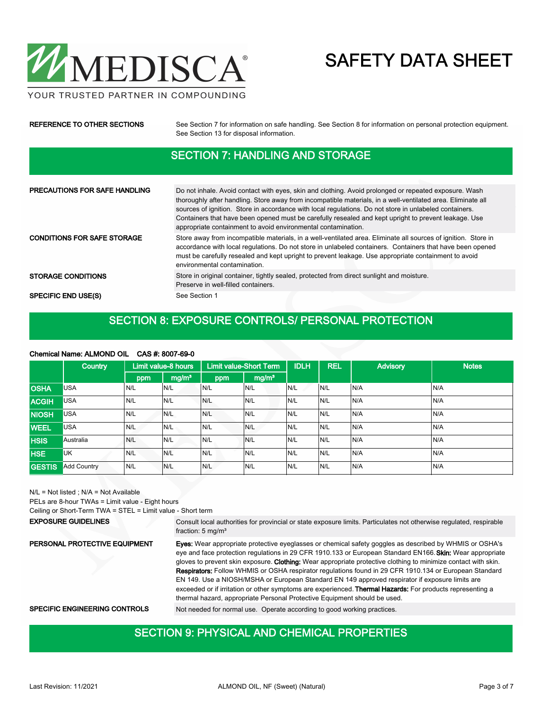

YOUR TRUSTED PARTNER IN COMPOUNDING

### REFERENCE TO OTHER SECTIONS See Section 7 for information on safe handling. See Section 8 for information on personal protection equipment. See Section 13 for disposal information.

### SECTION 7: HANDLING AND STORAGE

| <b>PRECAUTIONS FOR SAFE HANDLING</b> | Do not inhale. Avoid contact with eyes, skin and clothing. Avoid prolonged or repeated exposure. Wash<br>thoroughly after handling. Store away from incompatible materials, in a well-ventilated area. Eliminate all<br>sources of ignition. Store in accordance with local regulations. Do not store in unlabeled containers.<br>Containers that have been opened must be carefully resealed and kept upright to prevent leakage. Use<br>appropriate containment to avoid environmental contamination. |
|--------------------------------------|---------------------------------------------------------------------------------------------------------------------------------------------------------------------------------------------------------------------------------------------------------------------------------------------------------------------------------------------------------------------------------------------------------------------------------------------------------------------------------------------------------|
| <b>CONDITIONS FOR SAFE STORAGE</b>   | Store away from incompatible materials, in a well-ventilated area. Eliminate all sources of ignition. Store in<br>accordance with local regulations. Do not store in unlabeled containers. Containers that have been opened<br>must be carefully resealed and kept upright to prevent leakage. Use appropriate containment to avoid<br>environmental contamination.                                                                                                                                     |
| <b>STORAGE CONDITIONS</b>            | Store in original container, tightly sealed, protected from direct sunlight and moisture.<br>Preserve in well-filled containers.                                                                                                                                                                                                                                                                                                                                                                        |
| <b>SPECIFIC END USE(S)</b>           | See Section 1                                                                                                                                                                                                                                                                                                                                                                                                                                                                                           |

### SECTION 8: EXPOSURE CONTROLS/ PERSONAL PROTECTION

#### Chemical Name: ALMOND OIL CAS #: 8007-69-0

|               | Country            |     | Limit value-8 hours | <b>Limit value-Short Term</b> |                   | <b>IDLH</b> | <b>REL</b> | <b>Advisory</b> | <b>Notes</b> |
|---------------|--------------------|-----|---------------------|-------------------------------|-------------------|-------------|------------|-----------------|--------------|
|               |                    | ppm | mg/m <sup>3</sup>   | ppm                           | mg/m <sup>3</sup> |             |            |                 |              |
| <b>OSHA</b>   | <b>USA</b>         | N/L | N/L                 | N/L                           | N/L               | N/L         | IN/L       | N/A             | N/A          |
| <b>ACGIH</b>  | <b>USA</b>         | N/L | N/L                 | N/L                           | N/L               | N/L         | IN/L       | N/A             | N/A          |
| <b>NIOSH</b>  | <b>USA</b>         | N/L | N/L                 | N/L                           | IN/L              | N/L         | IN/L       | N/A             | N/A          |
| <b>WEEL</b>   | <b>USA</b>         | N/L | N/L                 | N/L                           | N/L               | N/L         | IN/L       | N/A             | N/A          |
| <b>HSIS</b>   | Australia          | N/L | N/L                 | N/L                           | N/L               | N/L         | IN/L       | N/A             | N/A          |
| <b>HSE</b>    | UK                 | N/L | N/L                 | N/L                           | N/L               | N/L         | IN/L       | N/A             | N/A          |
| <b>GESTIS</b> | <b>Add Country</b> | N/L | N/L                 | N/L                           | N/L               | N/L         | IN/L       | N/A             | N/A          |

N/L = Not listed ; N/A = Not Available

PELs are 8-hour TWAs = Limit value - Eight hours

Ceiling or Short-Term TWA = STEL = Limit value - Short term

Consult local authorities for provincial or state exposure limits. Particulates not otherwise regulated, respirable fraction: 5 mg/m<sup>3</sup> EXPOSURE GUIDELINES Eyes: Wear appropriate protective eyeglasses or chemical safety goggles as described by WHMIS or OSHA's eye and face protection regulations in 29 CFR 1910.133 or European Standard EN166. Skin: Wear appropriate gloves to prevent skin exposure. Clothing: Wear appropriate protective clothing to minimize contact with skin. Respirators: Follow WHMIS or OSHA respirator regulations found in 29 CFR 1910.134 or European Standard EN 149. Use a NIOSH/MSHA or European Standard EN 149 approved respirator if exposure limits are exceeded or if irritation or other symptoms are experienced. Thermal Hazards: For products representing a thermal hazard, appropriate Personal Protective Equipment should be used. PERSONAL PROTECTIVE EQUIPMENT SPECIFIC ENGINEERING CONTROLS Not needed for normal use. Operate according to good working practices.

### SECTION 9: PHYSICAL AND CHEMICAL PROPERTIES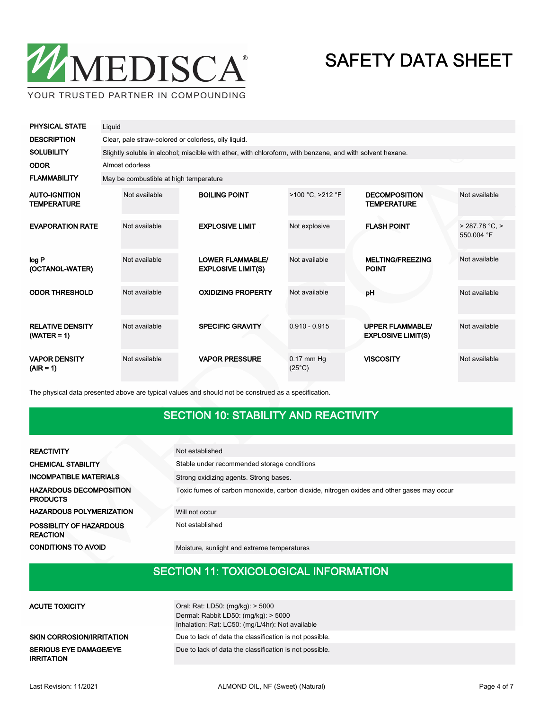

YOUR TRUSTED PARTNER IN COMPOUNDING

| <b>PHYSICAL STATE</b>                      | Liquid                                               |                                                                                                           |                                                      |                                 |                                                      |                           |  |  |
|--------------------------------------------|------------------------------------------------------|-----------------------------------------------------------------------------------------------------------|------------------------------------------------------|---------------------------------|------------------------------------------------------|---------------------------|--|--|
| <b>DESCRIPTION</b>                         | Clear, pale straw-colored or colorless, oily liquid. |                                                                                                           |                                                      |                                 |                                                      |                           |  |  |
| <b>SOLUBILITY</b>                          |                                                      | Slightly soluble in alcohol; miscible with ether, with chloroform, with benzene, and with solvent hexane. |                                                      |                                 |                                                      |                           |  |  |
| <b>ODOR</b>                                |                                                      | Almost odorless                                                                                           |                                                      |                                 |                                                      |                           |  |  |
| <b>FLAMMABILITY</b>                        |                                                      | May be combustible at high temperature                                                                    |                                                      |                                 |                                                      |                           |  |  |
| <b>AUTO-IGNITION</b><br><b>TEMPERATURE</b> |                                                      | Not available                                                                                             | <b>BOILING POINT</b>                                 | >100 °C, >212 °F                | <b>DECOMPOSITION</b><br><b>TEMPERATURE</b>           | Not available             |  |  |
| <b>EVAPORATION RATE</b>                    |                                                      | Not available                                                                                             | <b>EXPLOSIVE LIMIT</b>                               | Not explosive                   | <b>FLASH POINT</b>                                   | > 287.78 °C<br>550.004 °F |  |  |
| log P<br>(OCTANOL-WATER)                   |                                                      | Not available                                                                                             | <b>LOWER FLAMMABLE/</b><br><b>EXPLOSIVE LIMIT(S)</b> | Not available                   | <b>MELTING/FREEZING</b><br><b>POINT</b>              | Not available             |  |  |
| <b>ODOR THRESHOLD</b>                      |                                                      | Not available                                                                                             | <b>OXIDIZING PROPERTY</b>                            | Not available                   | pH                                                   | Not available             |  |  |
| <b>RELATIVE DENSITY</b><br>$(WATER = 1)$   |                                                      | Not available                                                                                             | <b>SPECIFIC GRAVITY</b>                              | $0.910 - 0.915$                 | <b>UPPER FLAMMABLE/</b><br><b>EXPLOSIVE LIMIT(S)</b> | Not available             |  |  |
| <b>VAPOR DENSITY</b><br>$(AIR = 1)$        |                                                      | Not available                                                                                             | <b>VAPOR PRESSURE</b>                                | $0.17$ mm Hg<br>$(25^{\circ}C)$ | <b>VISCOSITY</b>                                     | Not available             |  |  |

The physical data presented above are typical values and should not be construed as a specification.

### SECTION 10: STABILITY AND REACTIVITY

| <b>REACTIVITY</b>                                 | Not established                                                                           |  |  |  |  |
|---------------------------------------------------|-------------------------------------------------------------------------------------------|--|--|--|--|
| <b>CHEMICAL STABILITY</b>                         | Stable under recommended storage conditions                                               |  |  |  |  |
| <b>INCOMPATIBLE MATERIALS</b>                     | Strong oxidizing agents. Strong bases.                                                    |  |  |  |  |
| <b>HAZARDOUS DECOMPOSITION</b><br><b>PRODUCTS</b> | Toxic fumes of carbon monoxide, carbon dioxide, nitrogen oxides and other gases may occur |  |  |  |  |
| <b>HAZARDOUS POLYMERIZATION</b>                   | Will not occur                                                                            |  |  |  |  |
| POSSIBLITY OF HAZARDOUS<br><b>REACTION</b>        | Not established                                                                           |  |  |  |  |
| <b>CONDITIONS TO AVOID</b>                        | Moisture, sunlight and extreme temperatures                                               |  |  |  |  |

### SECTION 11: TOXICOLOGICAL INFORMATION

| <b>ACUTE TOXICITY</b>                              | Oral: Rat: LD50: (mg/kg): > 5000<br>Dermal: Rabbit LD50: $(mq/kg)$ : > 5000<br>Inhalation: Rat: LC50: (mg/L/4hr): Not available |
|----------------------------------------------------|---------------------------------------------------------------------------------------------------------------------------------|
| <b>SKIN CORROSION/IRRITATION</b>                   | Due to lack of data the classification is not possible.                                                                         |
| <b>SERIOUS EYE DAMAGE/EYE</b><br><b>IRRITATION</b> | Due to lack of data the classification is not possible.                                                                         |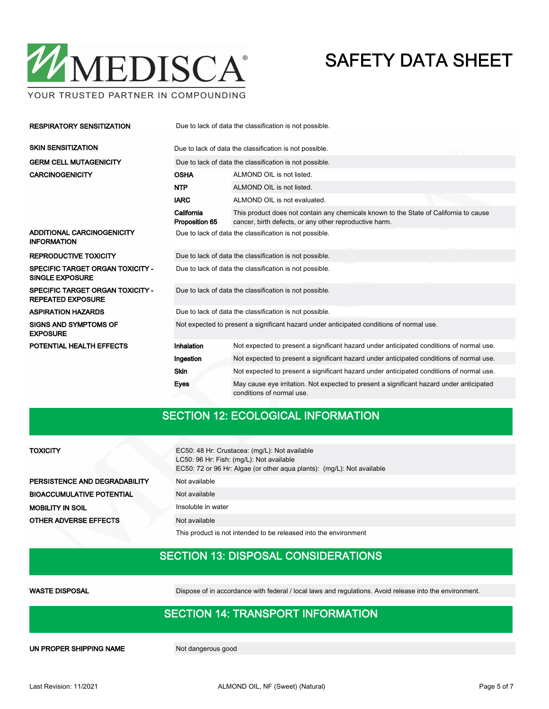

YOUR TRUSTED PARTNER IN COMPOUNDING

| <b>RESPIRATORY SENSITIZATION</b>                                    | Due to lack of data the classification is not possible.                                  |                                                                                                                                                 |  |  |  |  |
|---------------------------------------------------------------------|------------------------------------------------------------------------------------------|-------------------------------------------------------------------------------------------------------------------------------------------------|--|--|--|--|
| <b>SKIN SENSITIZATION</b>                                           | Due to lack of data the classification is not possible.                                  |                                                                                                                                                 |  |  |  |  |
| <b>GERM CELL MUTAGENICITY</b>                                       | Due to lack of data the classification is not possible.                                  |                                                                                                                                                 |  |  |  |  |
| <b>CARCINOGENICITY</b>                                              | <b>OSHA</b>                                                                              | ALMOND OIL is not listed.                                                                                                                       |  |  |  |  |
|                                                                     | <b>NTP</b>                                                                               | ALMOND OIL is not listed.                                                                                                                       |  |  |  |  |
|                                                                     | <b>IARC</b>                                                                              | ALMOND OIL is not evaluated.                                                                                                                    |  |  |  |  |
|                                                                     | California<br>Proposition 65                                                             | This product does not contain any chemicals known to the State of California to cause<br>cancer, birth defects, or any other reproductive harm. |  |  |  |  |
| ADDITIONAL CARCINOGENICITY<br><b>INFORMATION</b>                    | Due to lack of data the classification is not possible.                                  |                                                                                                                                                 |  |  |  |  |
| <b>REPRODUCTIVE TOXICITY</b>                                        | Due to lack of data the classification is not possible.                                  |                                                                                                                                                 |  |  |  |  |
| <b>SPECIFIC TARGET ORGAN TOXICITY -</b><br><b>SINGLE EXPOSURE</b>   | Due to lack of data the classification is not possible.                                  |                                                                                                                                                 |  |  |  |  |
| <b>SPECIFIC TARGET ORGAN TOXICITY -</b><br><b>REPEATED EXPOSURE</b> | Due to lack of data the classification is not possible.                                  |                                                                                                                                                 |  |  |  |  |
| <b>ASPIRATION HAZARDS</b>                                           | Due to lack of data the classification is not possible.                                  |                                                                                                                                                 |  |  |  |  |
| <b>SIGNS AND SYMPTOMS OF</b><br><b>EXPOSURE</b>                     | Not expected to present a significant hazard under anticipated conditions of normal use. |                                                                                                                                                 |  |  |  |  |
| POTENTIAL HEALTH EFFECTS                                            | Inhalation                                                                               | Not expected to present a significant hazard under anticipated conditions of normal use.                                                        |  |  |  |  |
|                                                                     | Ingestion                                                                                | Not expected to present a significant hazard under anticipated conditions of normal use.                                                        |  |  |  |  |
|                                                                     | Skin                                                                                     | Not expected to present a significant hazard under anticipated conditions of normal use.                                                        |  |  |  |  |
|                                                                     | <b>Eyes</b>                                                                              | May cause eye irritation. Not expected to present a significant hazard under anticipated<br>conditions of normal use.                           |  |  |  |  |

### SECTION 12: ECOLOGICAL INFORMATION

### **TOXICITY**

PERSISTENCE AND DEGRADABILITY Not available BIOACCUMULATIVE POTENTIAL Not available MOBILITY IN SOIL Insoluble in water **OTHER ADVERSE EFFECTS** Not available

EC50: 48 Hr: Crustacea: (mg/L): Not available LC50: 96 Hr: Fish: (mg/L): Not available EC50: 72 or 96 Hr: Algae (or other aqua plants): (mg/L): Not available

This product is not intended to be released into the environment

### SECTION 13: DISPOSAL CONSIDERATIONS

WASTE DISPOSAL Dispose of in accordance with federal / local laws and regulations. Avoid release into the environment.

### SECTION 14: TRANSPORT INFORMATION

UN PROPER SHIPPING NAME Not dangerous good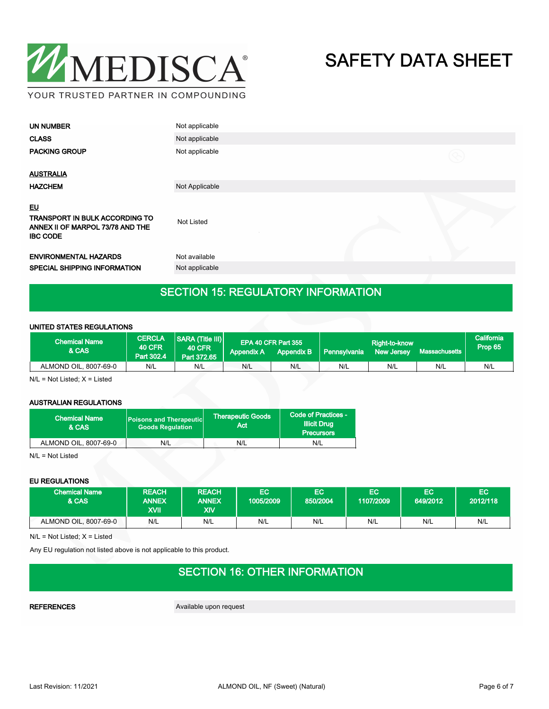

| <b>UN NUMBER</b>                                                                                          | Not applicable |             |
|-----------------------------------------------------------------------------------------------------------|----------------|-------------|
| <b>CLASS</b>                                                                                              | Not applicable |             |
| <b>PACKING GROUP</b>                                                                                      | Not applicable | $\circledR$ |
| <b>AUSTRALIA</b>                                                                                          |                |             |
| <b>HAZCHEM</b>                                                                                            | Not Applicable |             |
| <u>EU</u><br><b>TRANSPORT IN BULK ACCORDING TO</b><br>ANNEX II OF MARPOL 73/78 AND THE<br><b>IBC CODE</b> | Not Listed     |             |
| <b>ENVIRONMENTAL HAZARDS</b>                                                                              | Not available  |             |
| <b>SPECIAL SHIPPING INFORMATION</b>                                                                       | Not applicable |             |
|                                                                                                           |                |             |

### SECTION 15: REGULATORY INFORMATION

#### UNITED STATES REGULATIONS

| <b>Chemical Name</b><br>& CAS | <b>CERCLA</b><br><b>40 CFR</b><br>Part 302.4 | <b>SARA (Title III)</b><br><b>40 CFR</b><br>Part 372.65 | <b>Appendix A</b> | EPA 40 CFR Part 355 | Appendix B   Pennsylvania | Right-to-know<br><b>New Jersey</b> | Massachusetts | California<br>Prop 65 |
|-------------------------------|----------------------------------------------|---------------------------------------------------------|-------------------|---------------------|---------------------------|------------------------------------|---------------|-----------------------|
| ALMOND OIL, 8007-69-0         | N/L                                          | N/L                                                     | N/L               | N/L                 | N/L                       | N/L                                | N/L           | N/L                   |

N/L = Not Listed; X = Listed

#### AUSTRALIAN REGULATIONS

| <b>Chemical Name</b><br>& CAS | <b>Poisons and Therapeutic</b><br><b>Goods Regulation</b> | Therapeutic Goods <b>\</b><br>Act | Code of Practices -<br><b>Illicit Drug</b><br><b>Precursors</b> |
|-------------------------------|-----------------------------------------------------------|-----------------------------------|-----------------------------------------------------------------|
| ALMOND OIL, 8007-69-0         | N/L                                                       | N/L                               | N/L                                                             |

N/L = Not Listed

#### EU REGULATIONS

| <b>Chemical Name</b><br><b>&amp; CAS</b> | <b>REACH</b><br><b>ANNEX</b><br>XVII | <b>REACH</b><br><b>ANNEX</b><br>XIV | EC<br>1005/2009 | EC<br>850/2004 | ΈC<br>1107/2009 | EC<br>649/2012 | EC<br>2012/118 |
|------------------------------------------|--------------------------------------|-------------------------------------|-----------------|----------------|-----------------|----------------|----------------|
| ALMOND OIL, 8007-69-0                    | N/L                                  | N/L                                 | N/L             | N/L            | N/L             | N/L            | N/L            |

N/L = Not Listed; X = Listed

Any EU regulation not listed above is not applicable to this product.

## SECTION 16: OTHER INFORMATION

REFERENCES Available upon request